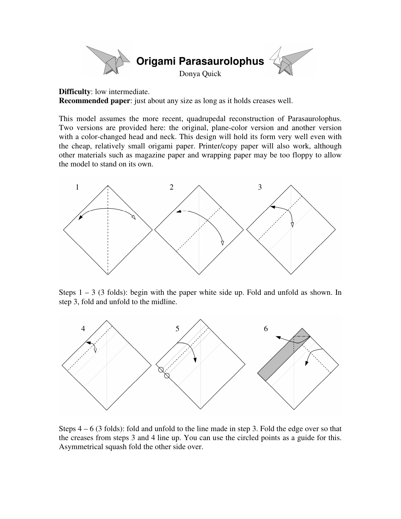

**Difficulty**: low intermediate.

**Recommended paper**: just about any size as long as it holds creases well.

This model assumes the more recent, quadrupedal reconstruction of Parasaurolophus. Two versions are provided here: the original, plane-color version and another version with a color-changed head and neck. This design will hold its form very well even with the cheap, relatively small origami paper. Printer/copy paper will also work, although other materials such as magazine paper and wrapping paper may be too floppy to allow the model to stand on its own.



Steps  $1 - 3$  (3 folds): begin with the paper white side up. Fold and unfold as shown. In step 3, fold and unfold to the midline.



Steps 4 – 6 (3 folds): fold and unfold to the line made in step 3. Fold the edge over so that the creases from steps 3 and 4 line up. You can use the circled points as a guide for this. Asymmetrical squash fold the other side over.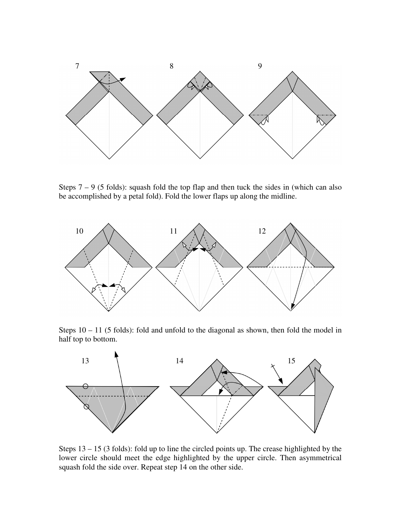

Steps  $7 - 9$  (5 folds): squash fold the top flap and then tuck the sides in (which can also be accomplished by a petal fold). Fold the lower flaps up along the midline.



Steps  $10 - 11$  (5 folds): fold and unfold to the diagonal as shown, then fold the model in half top to bottom.



Steps 13 – 15 (3 folds): fold up to line the circled points up. The crease highlighted by the lower circle should meet the edge highlighted by the upper circle. Then asymmetrical squash fold the side over. Repeat step 14 on the other side.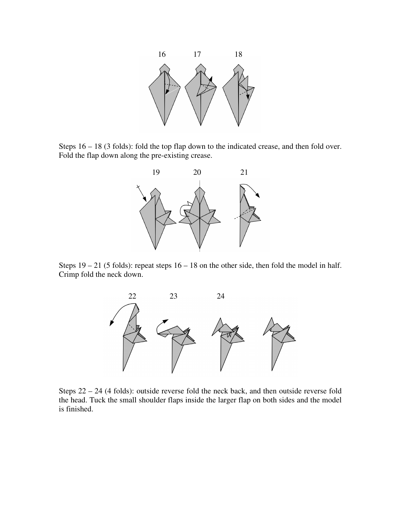

Steps 16 – 18 (3 folds): fold the top flap down to the indicated crease, and then fold over. Fold the flap down along the pre-existing crease.



Steps  $19 - 21$  (5 folds): repeat steps  $16 - 18$  on the other side, then fold the model in half. Crimp fold the neck down.



Steps 22 – 24 (4 folds): outside reverse fold the neck back, and then outside reverse fold the head. Tuck the small shoulder flaps inside the larger flap on both sides and the model is finished.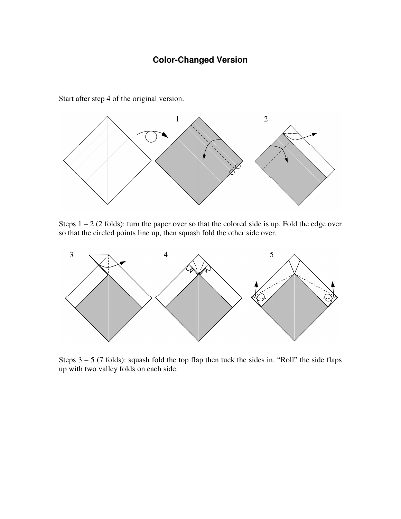## **Color-Changed Version**

1  $\wedge$  2

Start after step 4 of the original version.

Steps  $1 - 2$  (2 folds): turn the paper over so that the colored side is up. Fold the edge over so that the circled points line up, then squash fold the other side over.



Steps  $3 - 5$  (7 folds): squash fold the top flap then tuck the sides in. "Roll" the side flaps up with two valley folds on each side.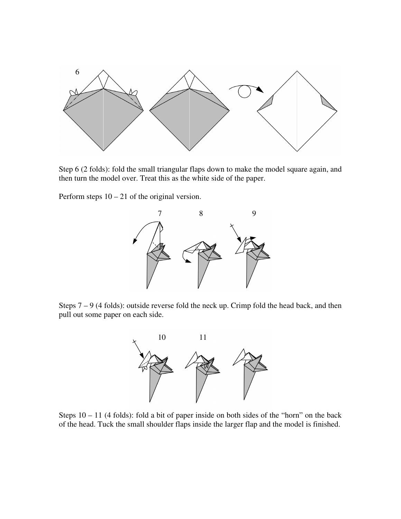

Step 6 (2 folds): fold the small triangular flaps down to make the model square again, and then turn the model over. Treat this as the white side of the paper.

Perform steps 10 – 21 of the original version.



Steps 7 – 9 (4 folds): outside reverse fold the neck up. Crimp fold the head back, and then pull out some paper on each side.



Steps 10 – 11 (4 folds): fold a bit of paper inside on both sides of the "horn" on the back of the head. Tuck the small shoulder flaps inside the larger flap and the model is finished.